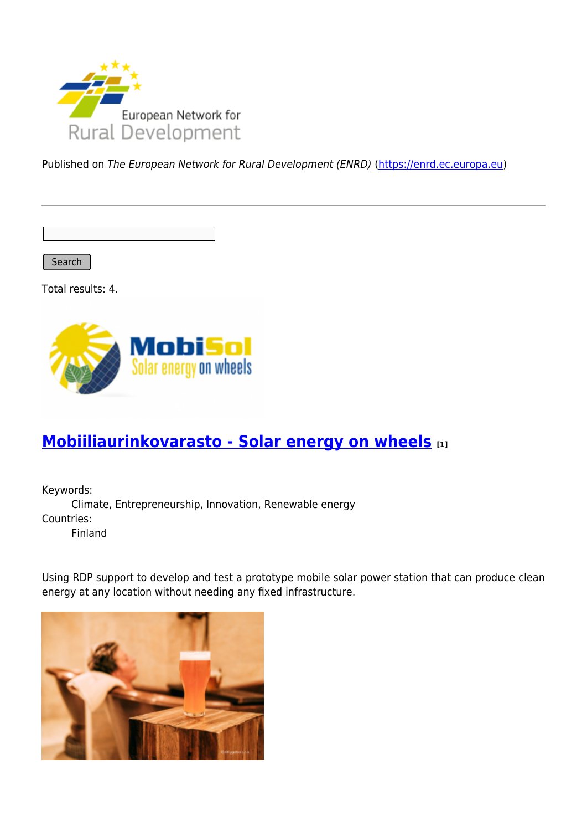

Published on The European Network for Rural Development (ENRD) [\(https://enrd.ec.europa.eu](https://enrd.ec.europa.eu))

Search |

Total results: 4.



## **[Mobiiliaurinkovarasto - Solar energy on wheels](https://enrd.ec.europa.eu/projects-practice/mobiiliaurinkovarasto-solar-energy-wheels_en) [1]**

Keywords: Climate, Entrepreneurship, Innovation, Renewable energy Countries: Finland

Using RDP support to develop and test a prototype mobile solar power station that can produce clean energy at any location without needing any fixed infrastructure.

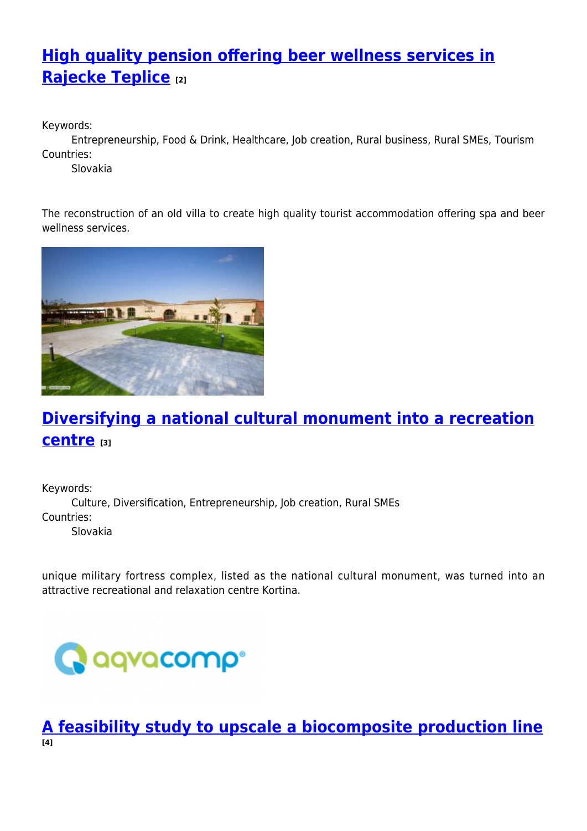# **[High quality pension offering beer wellness services in](https://enrd.ec.europa.eu/projects-practice/high-quality-pension-offering-beer-wellness-services-rajecke-teplice_en) [Rajecke Teplice](https://enrd.ec.europa.eu/projects-practice/high-quality-pension-offering-beer-wellness-services-rajecke-teplice_en) [2]**

Keywords:

Entrepreneurship, Food & Drink, Healthcare, Job creation, Rural business, Rural SMEs, Tourism Countries:

Slovakia

The reconstruction of an old villa to create high quality tourist accommodation offering spa and beer wellness services.



# **[Diversifying a national cultural monument into a recreation](https://enrd.ec.europa.eu/projects-practice/diversifying-national-cultural-monument-recreation-centre_en) [centre](https://enrd.ec.europa.eu/projects-practice/diversifying-national-cultural-monument-recreation-centre_en) [3]**

Keywords: Culture, Diversification, Entrepreneurship, Job creation, Rural SMEs Countries: Slovakia

unique military fortress complex, listed as the national cultural monument, was turned into an attractive recreational and relaxation centre Kortina.



**[A feasibility study to upscale a biocomposite production line](https://enrd.ec.europa.eu/projects-practice/feasibility-study-upscale-biocomposite-production-line_en) [4]**